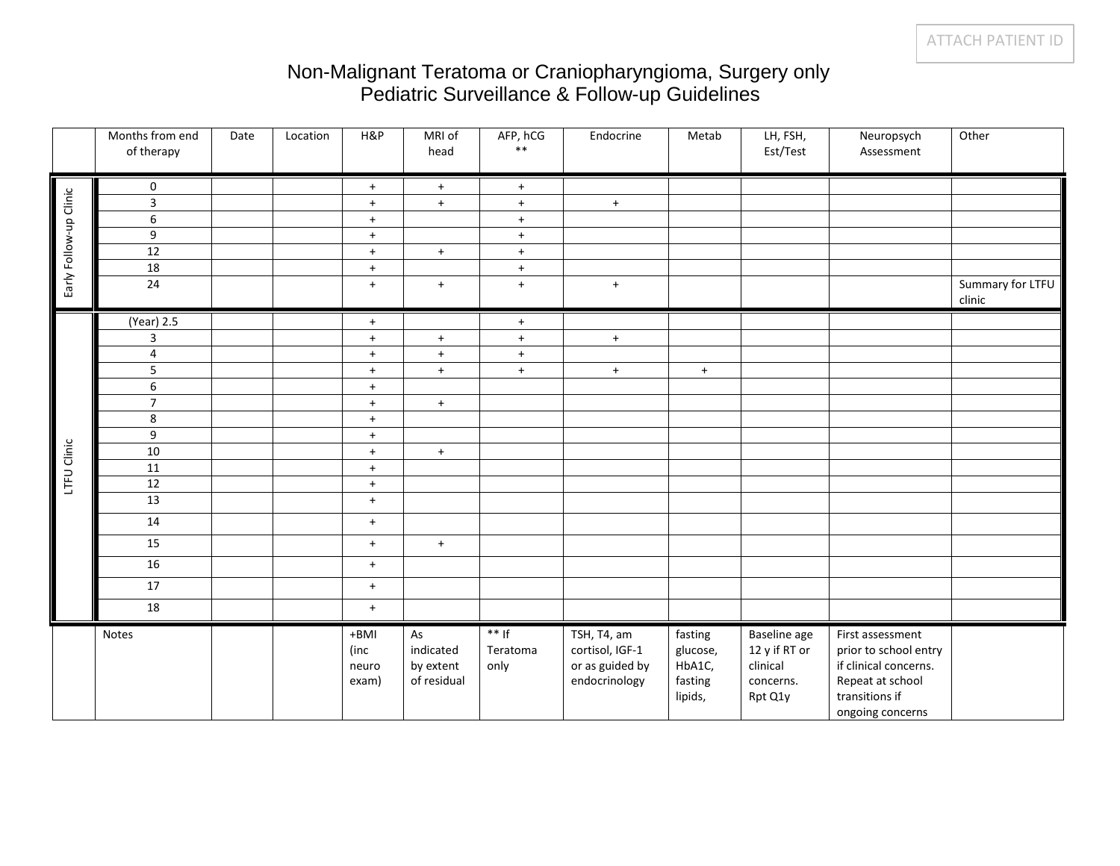## Non-Malignant Teratoma or Craniopharyngioma, Surgery only Pediatric Surveillance & Follow-up Guidelines

|                        | Months from end<br>of therapy | Date | Location | H&P                            | MRI of<br>head                              | AFP, hCG<br>$\ast\ast$      | Endocrine                                                          | Metab                                               | LH, FSH,<br>Est/Test                                              | Neuropsych<br>Assessment                                                                                                     | Other                      |
|------------------------|-------------------------------|------|----------|--------------------------------|---------------------------------------------|-----------------------------|--------------------------------------------------------------------|-----------------------------------------------------|-------------------------------------------------------------------|------------------------------------------------------------------------------------------------------------------------------|----------------------------|
| Early Follow-up Clinic | $\mathbf 0$                   |      |          | $+$                            | $+$                                         | $+$                         |                                                                    |                                                     |                                                                   |                                                                                                                              |                            |
|                        | $\overline{\mathbf{3}}$       |      |          | $+$                            | $+$                                         | $+$                         | $+$                                                                |                                                     |                                                                   |                                                                                                                              |                            |
|                        | 6                             |      |          | $+$                            |                                             | $+$                         |                                                                    |                                                     |                                                                   |                                                                                                                              |                            |
|                        | $9\,$                         |      |          | $+$                            |                                             | $+$                         |                                                                    |                                                     |                                                                   |                                                                                                                              |                            |
|                        | 12                            |      |          | $+$                            | $+$                                         | $+$                         |                                                                    |                                                     |                                                                   |                                                                                                                              |                            |
|                        | 18                            |      |          | $+$                            |                                             | $+$                         |                                                                    |                                                     |                                                                   |                                                                                                                              |                            |
|                        | 24                            |      |          | $+$                            | $+$                                         | $+$                         | $+$                                                                |                                                     |                                                                   |                                                                                                                              | Summary for LTFU<br>clinic |
|                        | (Year) 2.5                    |      |          | $+$                            |                                             | $+$                         |                                                                    |                                                     |                                                                   |                                                                                                                              |                            |
|                        | 3                             |      |          | $+$                            | $+$                                         | $+$                         | $+$                                                                |                                                     |                                                                   |                                                                                                                              |                            |
|                        | 4                             |      |          | $+$                            | $+$                                         | $+$                         |                                                                    |                                                     |                                                                   |                                                                                                                              |                            |
|                        | 5                             |      |          | $+$                            | $+$                                         | $+$                         | $+$                                                                | $+$                                                 |                                                                   |                                                                                                                              |                            |
|                        | 6                             |      |          | $+$                            |                                             |                             |                                                                    |                                                     |                                                                   |                                                                                                                              |                            |
|                        | $\overline{7}$                |      |          | $+$                            | $+$                                         |                             |                                                                    |                                                     |                                                                   |                                                                                                                              |                            |
|                        | $\,$ 8 $\,$                   |      |          | $+$                            |                                             |                             |                                                                    |                                                     |                                                                   |                                                                                                                              |                            |
|                        | $9\,$                         |      |          | $+$                            |                                             |                             |                                                                    |                                                     |                                                                   |                                                                                                                              |                            |
| LTFU Clinic            | 10                            |      |          | $+$                            | $+$                                         |                             |                                                                    |                                                     |                                                                   |                                                                                                                              |                            |
|                        | 11                            |      |          | $+$                            |                                             |                             |                                                                    |                                                     |                                                                   |                                                                                                                              |                            |
|                        | 12                            |      |          | $+$                            |                                             |                             |                                                                    |                                                     |                                                                   |                                                                                                                              |                            |
|                        | $\overline{13}$               |      |          | $+$                            |                                             |                             |                                                                    |                                                     |                                                                   |                                                                                                                              |                            |
|                        | 14                            |      |          | $+$                            |                                             |                             |                                                                    |                                                     |                                                                   |                                                                                                                              |                            |
|                        | 15                            |      |          | $+$                            | $+$                                         |                             |                                                                    |                                                     |                                                                   |                                                                                                                              |                            |
|                        | 16                            |      |          | $+$                            |                                             |                             |                                                                    |                                                     |                                                                   |                                                                                                                              |                            |
|                        | 17                            |      |          | $+$                            |                                             |                             |                                                                    |                                                     |                                                                   |                                                                                                                              |                            |
|                        | 18                            |      |          | $+$                            |                                             |                             |                                                                    |                                                     |                                                                   |                                                                                                                              |                            |
|                        | Notes                         |      |          | +BMI<br>(inc<br>neuro<br>exam) | As<br>indicated<br>by extent<br>of residual | $**$ If<br>Teratoma<br>only | TSH, T4, am<br>cortisol, IGF-1<br>or as guided by<br>endocrinology | fasting<br>glucose,<br>HbA1C,<br>fasting<br>lipids, | Baseline age<br>12 y if RT or<br>clinical<br>concerns.<br>Rpt Q1y | First assessment<br>prior to school entry<br>if clinical concerns.<br>Repeat at school<br>transitions if<br>ongoing concerns |                            |